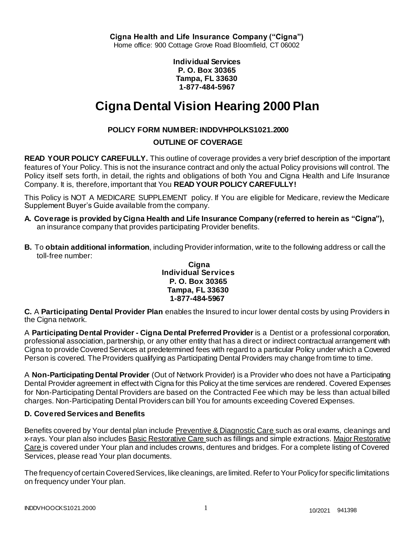**Individual Services P. O. Box 30365 Tampa, FL 33630 1-877-484-5967**

# **Cigna Dental Vision Hearing 2000 Plan**

# **POLICY FORM NUMBER: INDDVHPOLKS1021.2000**

# **OUTLINE OF COVERAGE**

**READ YOUR POLICY CAREFULLY.** This outline of coverage provides a very brief description of the important features of Your Policy. This is not the insurance contract and only the actual Policy provisions will control. The Policy itself sets forth, in detail, the rights and obligations of both You and Cigna Health and Life Insurance Company. It is, therefore, important that You **READ YOUR POLICY CAREFULLY!**

This Policy is NOT A MEDICARE SUPPLEMENT policy. If You are eligible for Medicare, review the Medicare Supplement Buyer's Guide available from the company.

- **A. Coverage is provided by Cigna Health and Life Insurance Company (referred to herein as "Cigna"),** an insurance company that provides participating Provider benefits.
- **B.** To **obtain additional information**, including Provider information, write to the following address or call the toll-free number:

#### **Cigna Individual Services P. O. Box 30365 Tampa, FL 33630 1-877-484-5967**

**C.** A **Participating Dental Provider Plan** enables the Insured to incur lower dental costs by using Providers in the Cigna network.

A **Participating Dental Provider - Cigna Dental Preferred Provider** is a Dentist or a professional corporation, professional association, partnership, or any other entity that has a direct or indirect contractual arrangement with Cigna to provide Covered Services at predetermined fees with regard to a particular Policy under which a Covered Person is covered. The Providers qualifying as Participating Dental Providers may change from time to time.

A **Non-Participating Dental Provider** (Out of Network Provider) is a Provider who does not have a Participating Dental Provider agreement in effect with Cigna for this Policy at the time services are rendered. Covered Expenses for Non-Participating Dental Providers are based on the Contracted Fee which may be less than actual billed charges. Non-Participating Dental Providers can bill You for amounts exceeding Covered Expenses.

# **D. Covered Services and Benefits**

Benefits covered by Your dental plan include Preventive & Diagnostic Care such as oral exams, cleanings and x-rays. Your plan also includes Basic Restorative Care such as fillings and simple extractions. Major Restorative Care is covered under Your plan and includes crowns, dentures and bridges. For a complete listing of Covered Services, please read Your plan documents.

The frequency of certain Covered Services, like cleanings, are limited. Refer to Your Policy for specific limitations on frequency under Your plan.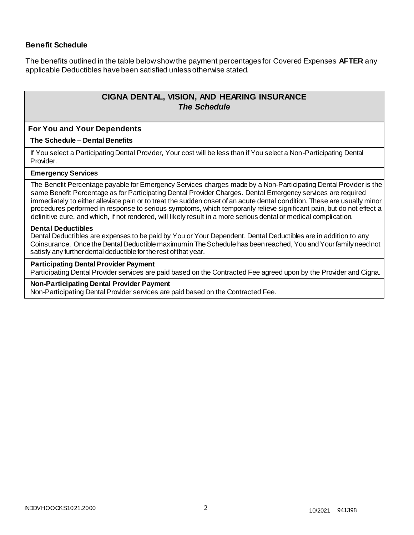# **Benefit Schedule**

The benefits outlined in the table below show the payment percentages for Covered Expenses **AFTER** any applicable Deductibles have been satisfied unless otherwise stated.

# **CIGNA DENTAL, VISION, AND HEARING INSURANCE** *The Schedule*

#### **For You and Your Dependents**

#### **The Schedule – Dental Benefits**

If You select a Participating Dental Provider, Your cost will be less than if You select a Non-Participating Dental Provider.

#### **Emergency Services**

The Benefit Percentage payable for Emergency Services charges made by a Non-Participating Dental Provider is the same Benefit Percentage as for Participating Dental Provider Charges. Dental Emergency services are required immediately to either alleviate pain or to treat the sudden onset of an acute dental condition. These are usually minor procedures performed in response to serious symptoms, which temporarily relieve significant pain, but do not effect a definitive cure, and which, if not rendered, will likely result in a more serious dental or medical complication.

#### **Dental Deductibles**

Dental Deductibles are expenses to be paid by You or Your Dependent. Dental Deductibles are in addition to any Coinsurance. Once the Dental Deductible maximum in The Schedule has been reached, You and Your family need not satisfy any further dental deductible for the rest of that year.

#### **Participating Dental Provider Payment**

Participating Dental Provider services are paid based on the Contracted Fee agreed upon by the Provider and Cigna.

#### **Non-Participating Dental Provider Payment**

Non-Participating Dental Provider services are paid based on the Contracted Fee.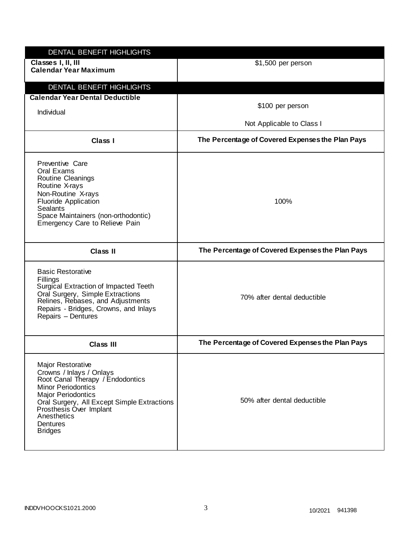| DENTAL BENEFIT HIGHLIGHTS<br>Classes I, II, III<br><b>Calendar Year Maximum</b>                                                                                                                                                                                    | \$1,500 per person                               |
|--------------------------------------------------------------------------------------------------------------------------------------------------------------------------------------------------------------------------------------------------------------------|--------------------------------------------------|
| DENTAL BENEFIT HIGHLIGHTS                                                                                                                                                                                                                                          |                                                  |
| <b>Calendar Year Dental Deductible</b><br>Individual                                                                                                                                                                                                               | \$100 per person                                 |
|                                                                                                                                                                                                                                                                    | Not Applicable to Class I                        |
| Class I                                                                                                                                                                                                                                                            | The Percentage of Covered Expenses the Plan Pays |
| <b>Preventive Care</b><br>Oral Exams<br>Routine Cleanings<br>Routine X-rays<br>Non-Routine X-rays<br><b>Fluoride Application</b><br><b>Sealants</b><br>Space Maintainers (non-orthodontic)<br>Emergency Care to Relieve Pain                                       | 100%                                             |
| <b>Class II</b>                                                                                                                                                                                                                                                    | The Percentage of Covered Expenses the Plan Pays |
| <b>Basic Restorative</b><br>Fillings<br>Surgical Extraction of Impacted Teeth<br>Oral Surgery, Simple Extractions<br>Relines, Rebases, and Adjustments<br>Repairs - Bridges, Crowns, and Inlays<br>Repairs - Dentures                                              | 70% after dental deductible                      |
| <b>Class III</b>                                                                                                                                                                                                                                                   | The Percentage of Covered Expenses the Plan Pays |
| Major Restorative<br>Crowns / Inlays / Onlays<br>Root Canal Therapy / Endodontics<br><b>Minor Periodontics</b><br><b>Major Periodontics</b><br>Oral Surgery, All Except Simple Extractions<br>Prosthesis Over Implant<br>Anesthetics<br>Dentures<br><b>Bridges</b> | 50% after dental deductible                      |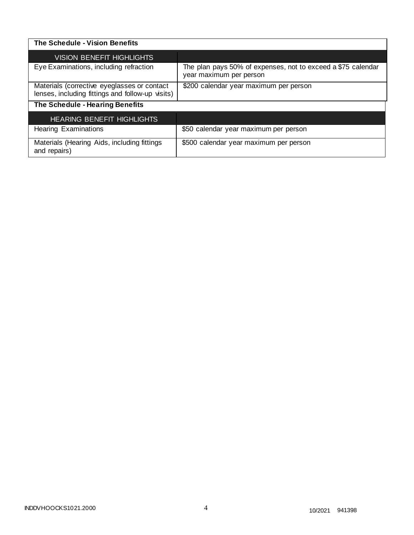| The Schedule - Vision Benefits                                                                  |                                                                                         |
|-------------------------------------------------------------------------------------------------|-----------------------------------------------------------------------------------------|
| <b>VISION BENEFIT HIGHLIGHTS</b>                                                                |                                                                                         |
| Eye Examinations, including refraction                                                          | The plan pays 50% of expenses, not to exceed a \$75 calendar<br>year maximum per person |
| Materials (corrective eyeglasses or contact<br>lenses, including fittings and follow-up visits) | \$200 calendar year maximum per person                                                  |
| The Schedule - Hearing Benefits                                                                 |                                                                                         |
| <b>HEARING BENEFIT HIGHLIGHTS</b>                                                               |                                                                                         |
| <b>Hearing Examinations</b>                                                                     | \$50 calendar year maximum per person                                                   |
| Materials (Hearing Aids, including fittings<br>and repairs)                                     | \$500 calendar year maximum per person                                                  |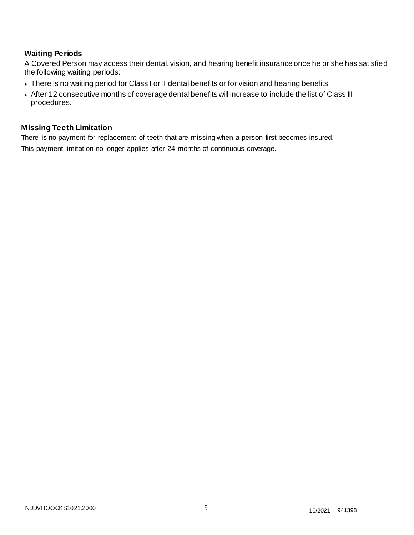# **Waiting Periods**

A Covered Person may access their dental, vision, and hearing benefit insurance once he or she has satisfied the following waiting periods:

- There is no waiting period for Class I or II dental benefits or for vision and hearing benefits.
- After 12 consecutive months of coverage dental benefits will increase to include the list of Class III procedures.

# **Missing Teeth Limitation**

There is no payment for replacement of teeth that are missing when a person first becomes insured. This payment limitation no longer applies after 24 months of continuous coverage.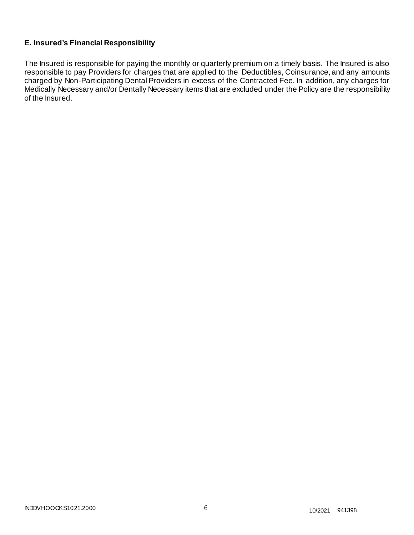# **E. Insured's Financial Responsibility**

The Insured is responsible for paying the monthly or quarterly premium on a timely basis. The Insured is also responsible to pay Providers for charges that are applied to the Deductibles, Coinsurance, and any amounts charged by Non-Participating Dental Providers in excess of the Contracted Fee. In addition, any charges for Medically Necessary and/or Dentally Necessary items that are excluded under the Policy are the responsibil ity of the Insured.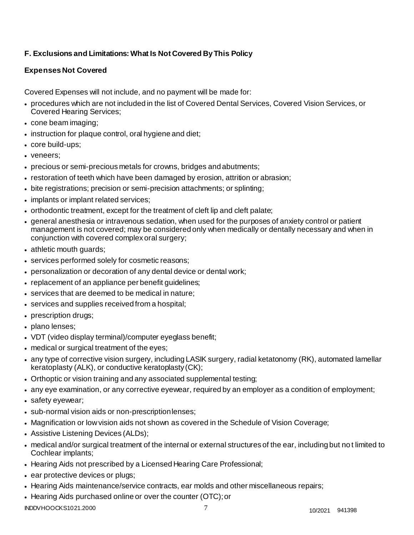# **F. Exclusions and Limitations: What Is Not Covered By This Policy**

# **Expenses Not Covered**

Covered Expenses will not include, and no payment will be made for:

- procedures which are not included in the list of Covered Dental Services, Covered Vision Services, or Covered Hearing Services;
- cone beam imaging;
- instruction for plaque control, oral hygiene and diet;
- core build-ups;
- veneers:
- precious or semi-precious metals for crowns, bridges andabutments;
- restoration of teeth which have been damaged by erosion, attrition or abrasion;
- bite registrations; precision or semi-precision attachments; or splinting;
- implants or implant related services;
- orthodontic treatment, except for the treatment of cleft lip and cleft palate;
- general anesthesia or intravenous sedation, when used for the purposes of anxiety control or patient management is not covered; may be considered only when medically or dentally necessary and when in conjunction with covered complex oral surgery;
- athletic mouth guards;
- services performed solely for cosmetic reasons;
- personalization or decoration of any dental device or dental work;
- replacement of an appliance per benefit guidelines;
- services that are deemed to be medical in nature;
- services and supplies received from a hospital;
- prescription drugs;
- plano lenses;
- VDT (video display terminal)/computer eyeglass benefit;
- medical or surgical treatment of the eyes;
- any type of corrective vision surgery, including LASIK surgery, radial ketatonomy (RK), automated lamellar keratoplasty (ALK), or conductive keratoplasty(CK);
- Orthoptic or vision training and any associated supplemental testing;
- any eye examination, or any corrective eyewear, required by an employer as a condition of employment;
- safety eyewear;
- sub-normal vision aids or non-prescriptionlenses;
- Magnification or low vision aids not shown as covered in the Schedule of Vision Coverage;
- Assistive Listening Devices (ALDs);
- medical and/or surgical treatment of the internal or external structures of the ear, including but no t limited to Cochlear implants;
- Hearing Aids not prescribed by a Licensed Hearing Care Professional;
- ear protective devices or plugs;
- Hearing Aids maintenance/service contracts, ear molds and other miscellaneous repairs;
- Hearing Aids purchased online or over the counter (OTC);or

INDDVHOOCKS1021.2000 7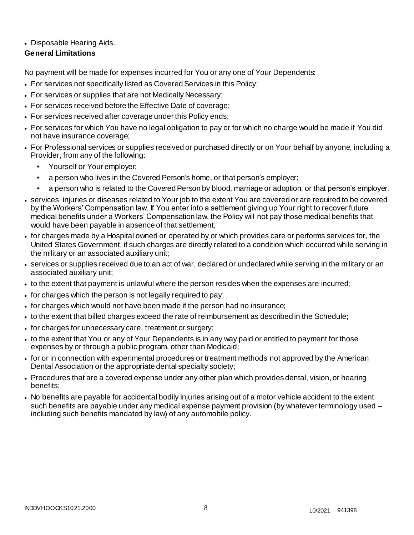# • Disposable Hearing Aids.

# **General Limitations**

No payment will be made for expenses incurred for You or any one of Your Dependents:

- For services not specifically listed as Covered Services in this Policy;
- For services or supplies that are not Medically Necessary;
- For services received before the Effective Date of coverage;
- For services received after coverage under this Policy ends;
- For services for which You have no legal obligation to pay or for which no charge would be made if You did not have insurance coverage;
- For Professional services or supplies received or purchased directly or on Your behalf by anyone, including a Provider, from any of the following:
	- Yourself or Your employer;
	- a person who lives in the Covered Person's home, or that person's employer;
	- a person who is related to the Covered Person by blood, marriage or adoption, or that person's employer.
- services, injuries or diseases related to Your job to the extent You are covered or are required to be covered by the Workers' Compensation law. If You enter into a settlement giving up Your right to recover future medical benefits under a Workers' Compensation law, the Policy will not pay those medical benefits that would have been payable in absence of that settlement;
- for charges made by a Hospital owned or operated by or which provides care or performs services for, the United States Government, if such charges are directly related to a condition which occurred while serving in the military or an associated auxiliary unit;
- services or supplies received due to an act of war, declared or undeclared while serving in the military or an associated auxiliary unit;
- to the extent that payment is unlawful where the person resides when the expenses are incurred;
- for charges which the person is not legally required to pay;
- for charges which would not have been made if the person had no insurance;
- to the extent that billed charges exceed the rate of reimbursement as described in the Schedule;
- for charges for unnecessary care, treatment or surgery;
- to the extent that You or any of Your Dependents is in any way paid or entitled to payment for those expenses by or through a public program, other than Medicaid;
- for or in connection with experimental procedures or treatment methods not approved by the American Dental Association or the appropriate dental specialty society;
- Procedures that are a covered expense under any other plan which provides dental, vision, or hearing benefits;
- No benefits are payable for accidental bodily injuries arising out of a motor vehicle accident to the extent such benefits are payable under any medical expense payment provision (by whatever terminology used – including such benefits mandated by law) of any automobile policy.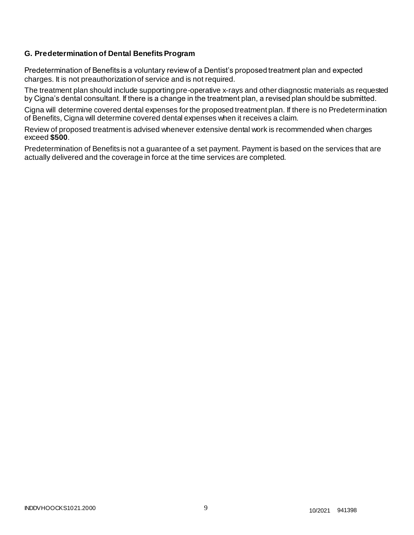# **G. Predetermination of Dental Benefits Program**

Predetermination of Benefits is a voluntary review of a Dentist's proposed treatment plan and expected charges. It is not preauthorization of service and is not required.

The treatment plan should include supporting pre-operative x-rays and other diagnostic materials as requested by Cigna's dental consultant. If there is a change in the treatment plan, a revised plan should be submitted.

Cigna will determine covered dental expenses for the proposed treatment plan. If there is no Predetermination of Benefits, Cigna will determine covered dental expenses when it receives a claim.

Review of proposed treatment is advised whenever extensive dental work is recommended when charges exceed **\$500**.

Predetermination of Benefits is not a guarantee of a set payment. Payment is based on the services that are actually delivered and the coverage in force at the time services are completed.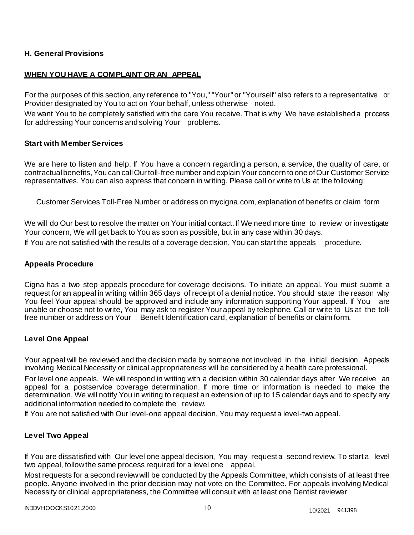# **H. General Provisions**

# **WHEN YOU HAVE A COMPLAINT OR AN APPEAL**

For the purposes of this section, any reference to "You," "Your" or "Yourself" also refers to a representative or Provider designated by You to act on Your behalf, unless otherwise noted.

We want You to be completely satisfied with the care You receive. That is why We have established a process for addressing Your concerns and solving Your problems.

## **Start with Member Services**

We are here to listen and help. If You have a concern regarding a person, a service, the quality of care, or contractual benefits, You can call Our toll-free number and explain Your concern to one of Our Customer Service representatives. You can also express that concern in writing. Please call or write to Us at the following:

Customer Services Toll-Free Number or address on mycigna.com, explanation of benefits or claim form

We will do Our best to resolve the matter on Your initial contact. If We need more time to review or investigate Your concern, We will get back to You as soon as possible, but in any case within 30 days.

If You are not satisfied with the results of a coverage decision, You can start the appeals procedure.

## **Appeals Procedure**

Cigna has a two step appeals procedure for coverage decisions. To initiate an appeal, You must submit a request for an appeal in writing within 365 days of receipt of a denial notice. You should state the reason why You feel Your appeal should be approved and include any information supporting Your appeal. If You are unable or choose not to write, You may ask to register Your appeal by telephone. Call or write to Us at the tollfree number or address on Your Benefit Identification card, explanation of benefits or claim form.

## **Level One Appeal**

Your appeal will be reviewed and the decision made by someone not involved in the initial decision. Appeals involving Medical Necessity or clinical appropriateness will be considered by a health care professional.

For level one appeals, We will respond in writing with a decision within 30 calendar days after We receive an appeal for a postservice coverage determination. If more time or information is needed to make the determination, We will notify You in writing to request an extension of up to 15 calendar days and to specify any additional information needed to complete the review.

If You are not satisfied with Our level-one appeal decision, You may request a level-two appeal.

## **Level Two Appeal**

If You are dissatisfied with Our level one appeal decision, You may request a second review. To start a level two appeal, follow the same process required for a level one appeal.

Most requests for a second review will be conducted by the Appeals Committee, which consists of at least three people. Anyone involved in the prior decision may not vote on the Committee. For appeals involving Medical Necessity or clinical appropriateness, the Committee will consult with at least one Dentist reviewer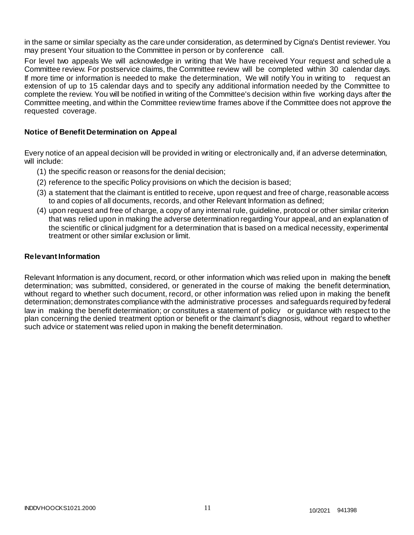in the same or similar specialty as the care under consideration, as determined by Cigna's Dentist reviewer. You may present Your situation to the Committee in person or by conference call.

For level two appeals We will acknowledge in writing that We have received Your request and sched ule a Committee review. For postservice claims, the Committee review will be completed within 30 calendar days. If more time or information is needed to make the determination, We will notify You in writing to request an extension of up to 15 calendar days and to specify any additional information needed by the Committee to complete the review. You will be notified in writing of the Committee's decision within five working days after the Committee meeting, and within the Committee review time frames above if the Committee does not approve the requested coverage.

## **Notice of Benefit Determination on Appeal**

Every notice of an appeal decision will be provided in writing or electronically and, if an adverse determination, will include:

- (1) the specific reason or reasons for the denial decision;
- (2) reference to the specific Policy provisions on which the decision is based;
- (3) a statement that the claimant is entitled to receive, upon request and free of charge, reasonable access to and copies of all documents, records, and other Relevant Information as defined;
- (4) upon request and free of charge, a copy of any internal rule, guideline, protocol or other similar criterion that was relied upon in making the adverse determination regarding Your appeal, and an explanation of the scientific or clinical judgment for a determination that is based on a medical necessity, experimental treatment or other similar exclusion or limit.

#### **Relevant Information**

Relevant Information is any document, record, or other information which was relied upon in making the benefit determination; was submitted, considered, or generated in the course of making the benefit determination, without regard to whether such document, record, or other information was relied upon in making the benefit determination; demonstrates compliance with the administrative processes and safeguards required by federal law in making the benefit determination; or constitutes a statement of policy or guidance with respect to the plan concerning the denied treatment option or benefit or the claimant's diagnosis, without regard to whether such advice or statement was relied upon in making the benefit determination.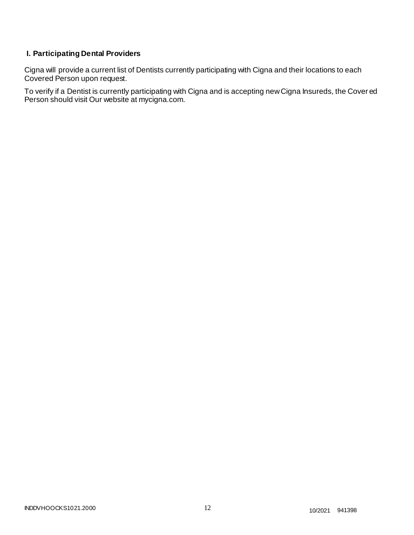# **I. Participating Dental Providers**

Cigna will provide a current list of Dentists currently participating with Cigna and their locations to each Covered Person upon request.

To verify if a Dentist is currently participating with Cigna and is accepting new Cigna Insureds, the Cover ed Person should visit Our website at mycigna.com.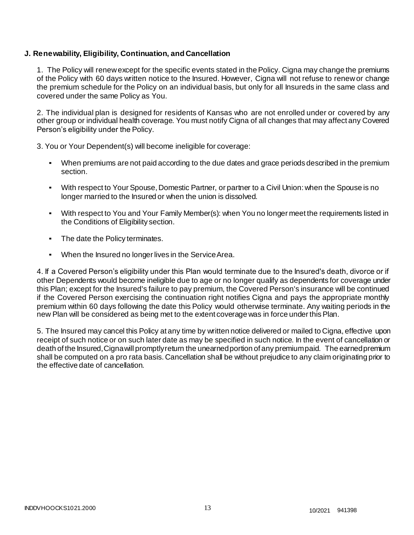# **J. Renewability, Eligibility, Continuation, and Cancellation**

1. The Policy will renew except for the specific events stated in the Policy. Cigna may change the premiums of the Policy with 60 days written notice to the Insured. However, Cigna will not refuse to renew or change the premium schedule for the Policy on an individual basis, but only for all Insureds in the same class and covered under the same Policy as You.

2. The individual plan is designed for residents of Kansas who are not enrolled under or covered by any other group or individual health coverage. You must notify Cigna of all changes that may affect any Covered Person's eligibility under the Policy.

3. You or Your Dependent(s) will become ineligible for coverage:

- When premiums are not paid according to the due dates and grace periods described in the premium section.
- With respect to Your Spouse, Domestic Partner, or partner to a Civil Union: when the Spouse is no longer married to the Insured or when the union is dissolved.
- With respect to You and Your Family Member(s): when You no longer meet the requirements listed in the Conditions of Eligibility section.
- The date the Policy terminates.
- When the Insured no longer lives in the Service Area.

4. If a Covered Person's eligibility under this Plan would terminate due to the Insured's death, divorce or if other Dependents would become ineligible due to age or no longer qualify as dependents for coverage under this Plan; except for the Insured's failure to pay premium, the Covered Person's insurance will be continued if the Covered Person exercising the continuation right notifies Cigna and pays the appropriate monthly premium within 60 days following the date this Policy would otherwise terminate. Any waiting periods in the new Plan will be considered as being met to the extent coverage was in force under this Plan.

5. The Insured may cancel this Policy at any time by written notice delivered or mailed to Cigna, effective upon receipt of such notice or on such later date as may be specified in such notice. In the event of cancellation or death of the Insured, Cigna will promptly return the unearned portion of any premium paid. The earned premium shall be computed on a pro rata basis. Cancellation shall be without prejudice to any claim originating prior to the effective date of cancellation.